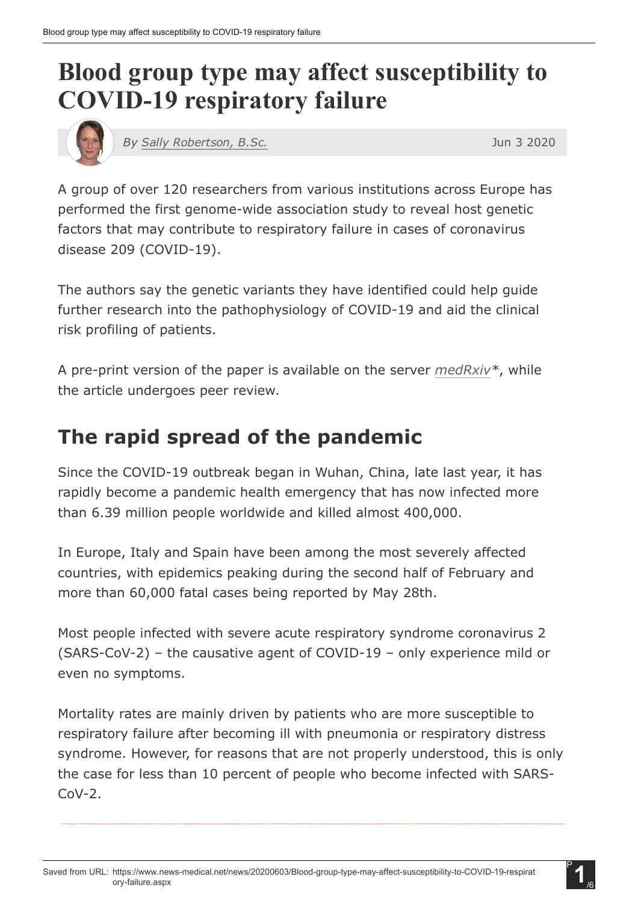# Blood group type may affect susceptibility to COVID-19 respiratory failure



*By Sally [Robertson,](https://www.news-medical.net/medical/authors/sally-robertson) B.Sc.* Jun 3 2020

A group of over 120 researchers from various institutions across Europe has performed the first genome-wide association study to reveal host genetic factors that may contribute to respiratory failure in cases of coronavirus disease 209 (COVID-19).

The authors say the genetic variants they have identified could help guide further research into the pathophysiology of COVID-19 and aid the clinical risk profiling of patients.

A pre-print version of the paper is available on the server *[medRxiv\\*](https://www.medrxiv.org/content/10.1101/2020.05.31.20114991v1)*, while the article undergoes peer review.

## The rapid spread of the pandemic

Since the COVID-19 outbreak began in Wuhan, China, late last year, it has rapidly become a pandemic health emergency that has now infected more than 6.39 million people worldwide and killed almost 400,000.

In Europe, Italy and Spain have been among the most severely affected countries, with epidemics peaking during the second half of February and more than 60,000 fatal cases being reported by May 28th.

Most people infected with severe acute respiratory syndrome coronavirus 2  $(SARS-CoV-2)$  – the causative agent of COVID-19 – only experience mild or even no symptoms.

Mortality rates are mainly driven by patients who are more susceptible to respiratory failure after becoming ill with pneumonia or respiratory distress syndrome. However, for reasons that are not properly understood, this is only the case for less than 10 percent of people who become infected with SARS- $C_0V-2$ .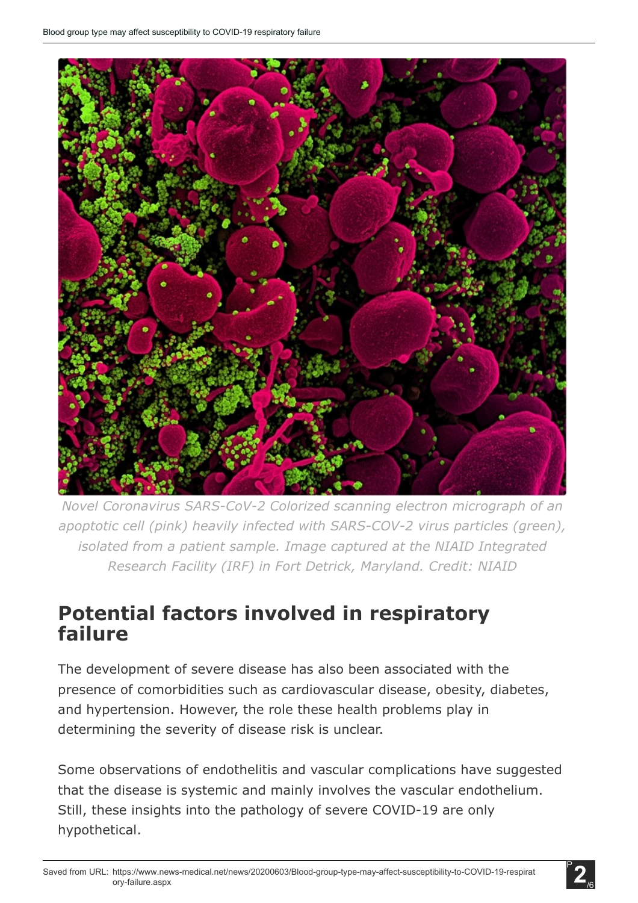

*Novel Coronavirus SARS-CoV-2 Colorized scanning electron micrograph* of *an apoptotic cell (pink) heavily infected with SARS-COV-2 virus particles (green), isolated from a patient sample. Image captured at the NIAID Integrated Research Facility (IRF) in Fort Detrick, Maryland. Credit: NIAID*

### Potential factors involved in respiratory failure

The development of severe disease has also been associated with the presence of comorbidities such as cardiovascular disease, obesity, diabetes, and hypertension. However, the role these health problems play in determining the severity of disease risk is unclear.

Some observations of endothelitis and vascular complications have suggested that the disease is systemic and mainly involves the vascular endothelium. Still, these insights into the pathology of severe COVID-19 are only hypothetical.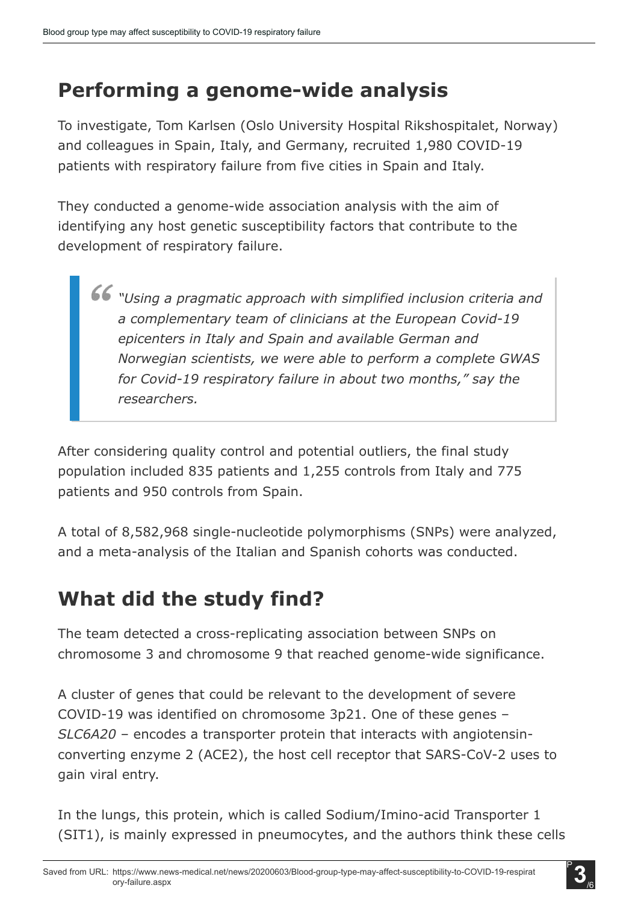## Performing a genome-wide analysis

To investigate, Tom Karlsen (Oslo University Hospital Rikshospitalet, Norway) and colleagues in Spain, Italy, and Germany, recruited 1,980 COVID-19 patients with respiratory failure from five cities in Spain and Italy.

They conducted a genome-wide association analysis with the aim of identifying any host genetic susceptibility factors that contribute to the development of respiratory failure.

*"Using a pragmatic approach with simplified inclusion criteria and a complementary team of clinicians at the European Covid19 epicenters in Italy and Spain and available German and Norwegian scientists, we were able to perform a complete GWAS for Covid19 respiratory failure in about two months," say the researchers.*

After considering quality control and potential outliers, the final study population included 835 patients and 1,255 controls from Italy and 775 patients and 950 controls from Spain.

A total of 8,582,968 single-nucleotide polymorphisms (SNPs) were analyzed, and a meta-analysis of the Italian and Spanish cohorts was conducted.

## What did the study find?

The team detected a cross-replicating association between SNPs on chromosome 3 and chromosome 9 that reached genome-wide significance.

A cluster of genes that could be relevant to the development of severe COVID-19 was identified on chromosome 3p21. One of these genes – *SLC6A20* – encodes a transporter protein that interacts with angiotensinconverting enzyme 2 (ACE2), the host cell receptor that SARS-CoV-2 uses to gain viral entry.

In the lungs, this protein, which is called Sodium/Imino-acid Transporter 1 (SIT1), is mainly expressed in pneumocytes, and the authors think these cells

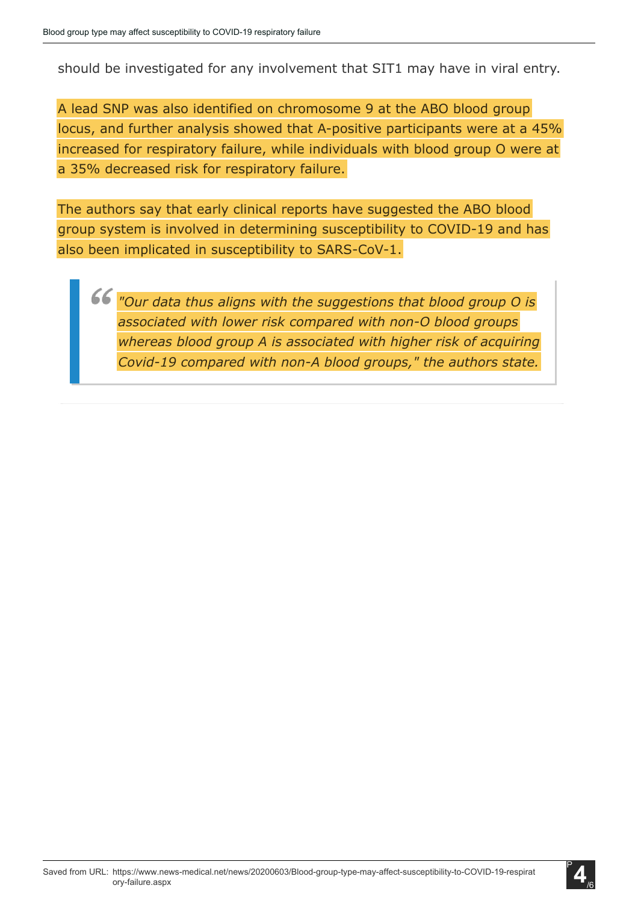should be investigated for any involvement that SIT1 may have in viral entry.

A lead SNP was also identified on chromosome 9 at the ABO blood group locus, and further analysis showed that A-positive participants were at a 45% increased for respiratory failure, while individuals with blood group O were at a 35% decreased risk for respiratory failure.

The authors say that early clinical reports have suggested the ABO blood group system is involved in determining susceptibility to COVID-19 and has also been implicated in susceptibility to SARS-CoV-1.

*"Our data thus aligns with the suggestions that blood group O is associated* with lower risk compared with non-O blood groups *whereas blood group A is associated with higher risk of acquiring Covid-19 compared with non-A blood groups," the authors state.* 

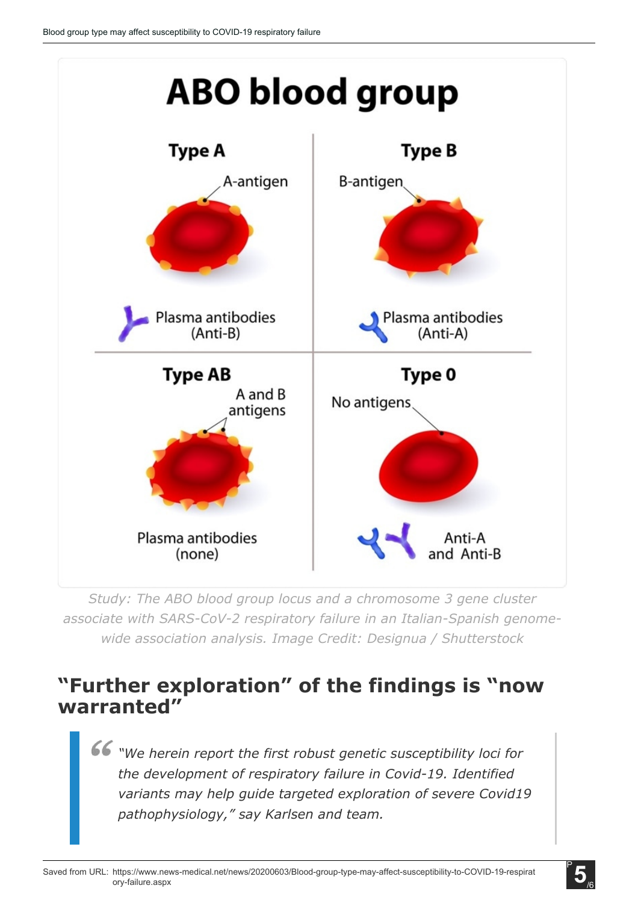

*Study: The ABO blood group locus and a chromosome 3 gene cluster associate with SARS-CoV-2 respiratory failure in an Italian-Spanish genomewide association analysis. Image Credit: Designua / Shutterstock*

### "Further exploration" of the findings is "now warranted"

*"We herein report the first robust genetic susceptibility loci for the development of respiratory failure in Covid-19. Identified variants may help guide targeted exploration of severe Covid19 pathophysiology," say Karlsen and team.*